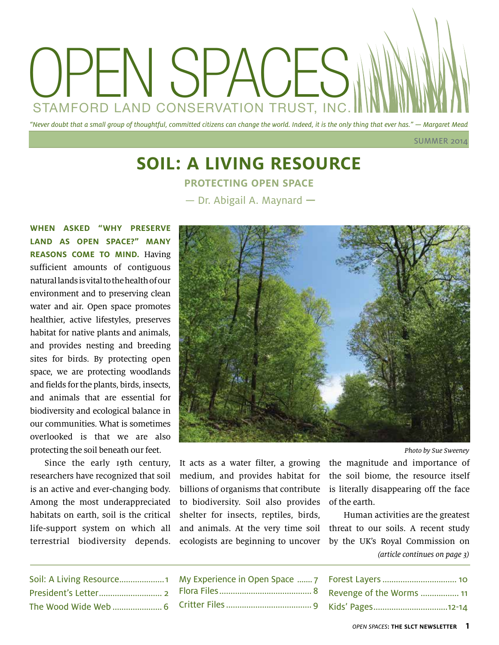

**SUMMER 2014** 

### **Soil: A Living Resource Protecting open space** — Dr. Abigail A. Maynard **—**

**When asked "why preserve land as open space?" many reasons come to mind.** Having sufficient amounts of contiguous natural lands is vital to the health of our environment and to preserving clean water and air. Open space promotes healthier, active lifestyles, preserves habitat for native plants and animals, and provides nesting and breeding sites for birds. By protecting open space, we are protecting woodlands and fields for the plants, birds, insects, and animals that are essential for biodiversity and ecological balance in our communities. What is sometimes overlooked is that we are also protecting the soil beneath our feet.

Since the early 19th century, researchers have recognized that soil is an active and ever-changing body. Among the most underappreciated habitats on earth, soil is the critical life-support system on which all terrestrial biodiversity depends.



Photo by Sue Sweeney

It acts as a water filter, a growing medium, and provides habitat for billions of organisms that contribute to biodiversity. Soil also provides shelter for insects, reptiles, birds, and animals. At the very time soil ecologists are beginning to uncover the magnitude and importance of the soil biome, the resource itself is literally disappearing off the face of the earth.

Human activities are the greatest threat to our soils. A recent study by the UK's Royal Commission on (article continues on page 3)

| Soil: A Living Resource1 |
|--------------------------|
|                          |
| The Wood Wide Web  6     |

| Forest Layers  10        |  |
|--------------------------|--|
| Revenge of the Worms  11 |  |
| Kids' Pages12-14         |  |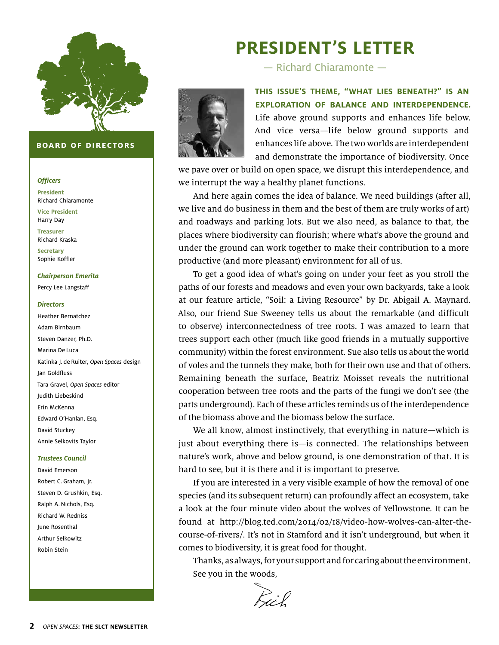

#### **board of directors**

#### **Officers**

**President** Richard Chiaramonte **Vice President** Harry Day **Treasurer**  Richard Kraska

**Secretary** Sophie Koffler

### **Chairperson Emerita**

Percy Lee Langstaff

#### **Directors**

Heather Bernatchez Adam Birnbaum Steven Danzer, Ph.D. Marina De Luca Katinka J. de Ruiter, Open Spaces design Jan Goldfluss Tara Gravel, Open Spaces editor Judith Liebeskind Erin McKenna Edward O'Hanlan, Esq. David Stuckey Annie Selkovits Taylor

#### **Trustees Council**

David Emerson Robert C. Graham, Jr. Steven D. Grushkin, Esq. Ralph A. Nichols, Esq. Richard W. Redniss June Rosenthal Arthur Selkowitz Robin Stein

# **President's Letter**

— Richard Chiaramonte —



**This issue's theme, "What Lies Beneath?" is an exploration of balance and interdependence.** Life above ground supports and enhances life below. And vice versa—life below ground supports and enhances life above. The two worlds are interdependent and demonstrate the importance of biodiversity. Once

we pave over or build on open space, we disrupt this interdependence, and we interrupt the way a healthy planet functions.

And here again comes the idea of balance. We need buildings (after all, we live and do business in them and the best of them are truly works of art) and roadways and parking lots. But we also need, as balance to that, the places where biodiversity can flourish; where what's above the ground and under the ground can work together to make their contribution to a more productive (and more pleasant) environment for all of us.

To get a good idea of what's going on under your feet as you stroll the paths of our forests and meadows and even your own backyards, take a look at our feature article, "Soil: a Living Resource" by Dr. Abigail A. Maynard. Also, our friend Sue Sweeney tells us about the remarkable (and difficult to observe) interconnectedness of tree roots. I was amazed to learn that trees support each other (much like good friends in a mutually supportive community) within the forest environment. Sue also tells us about the world of voles and the tunnels they make, both for their own use and that of others. Remaining beneath the surface, Beatriz Moisset reveals the nutritional cooperation between tree roots and the parts of the fungi we don't see (the parts underground). Each of these articles reminds us of the interdependence of the biomass above and the biomass below the surface.

We all know, almost instinctively, that everything in nature—which is just about everything there is—is connected. The relationships between nature's work, above and below ground, is one demonstration of that. It is hard to see, but it is there and it is important to preserve.

If you are interested in a very visible example of how the removal of one species (and its subsequent return) can profoundly affect an ecosystem, take a look at the four minute video about the wolves of Yellowstone. It can be found at http://blog.ted.com/2014/02/18/video-how-wolves-can-alter-thecourse-of-rivers/. It's not in Stamford and it isn't underground, but when it comes to biodiversity, it is great food for thought.

Thanks, as always, for your support and for caring about the environment. See you in the woods,

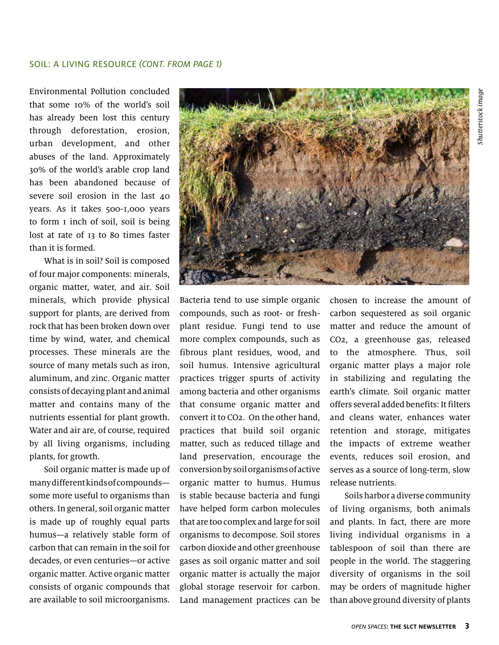Environmental Pollution concluded that some 10% of the world's soil has already been lost this century through deforestation, erosion, urban development, and other abuses of the land. Approximately 30% of the world's arable crop land has been abandoned because of severe soil erosion in the last  $40$ years. As it takes 500-1,000 years to form 1 inch of soil, soil is being lost at rate of 13 to 80 times faster than it is formed.

What is in soil? Soil is composed of four major components: minerals, organic matter, water, and air. Soil minerals, which provide physical support for plants, are derived from rock that has been broken down over time by wind, water, and chemical processes. These minerals are the source of many metals such as iron, aluminum, and zinc. Organic matter consists of decaying plant and animal matter and contains many of the nutrients essential for plant growth. Water and air are, of course, required by all living organisms, including plants, for growth.

Soil organic matter is made up of many different kinds of compounds some more useful to organisms than others. In general, soil organic matter is made up of roughly equal parts humus—a relatively stable form of carbon that can remain in the soil for decades, or even centuries—or active organic matter. Active organic matter consists of organic compounds that are available to soil microorganisms.



Bacteria tend to use simple organic compounds, such as root- or freshplant residue. Fungi tend to use more complex compounds, such as fibrous plant residues, wood, and soil humus. Intensive agricultural practices trigger spurts of activity among bacteria and other organisms that consume organic matter and convert it to CO2. On the other hand, practices that build soil organic matter, such as reduced tillage and land preservation, encourage the conversion by soil organisms of active organic matter to humus. Humus is stable because bacteria and fungi have helped form carbon molecules that are too complex and large for soil organisms to decompose. Soil stores carbon dioxide and other greenhouse gases as soil organic matter and soil organic matter is actually the major global storage reservoir for carbon. Land management practices can be

chosen to increase the amount of carbon sequestered as soil organic matter and reduce the amount of CO2, a greenhouse gas, released to the atmosphere. Thus, soil organic matter plays a major role in stabilizing and regulating the earth's climate. Soil organic matter offers several added benefits: It filters and cleans water, enhances water retention and storage, mitigates the impacts of extreme weather events, reduces soil erosion, and serves as a source of long-term, slow release nutrients.

Soils harbor a diverse community of living organisms, both animals and plants. In fact, there are more living individual organisms in a tablespoon of soil than there are people in the world. The staggering diversity of organisms in the soil may be orders of magnitude higher than above ground diversity of plants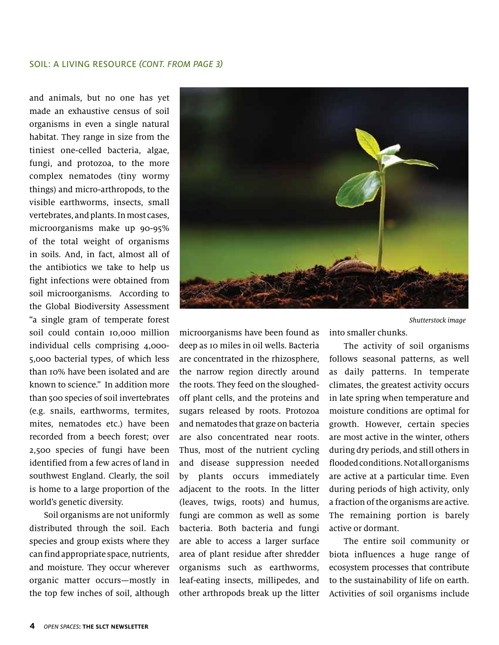#### Soil: a living resource (CONT. from page 3)

and animals, but no one has yet made an exhaustive census of soil organisms in even a single natural habitat. They range in size from the tiniest one-celled bacteria, algae, fungi, and protozoa, to the more complex nematodes (tiny wormy things) and micro-arthropods, to the visible earthworms, insects, small vertebrates, and plants. In most cases, microorganisms make up 90-95% of the total weight of organisms in soils. And, in fact, almost all of the antibiotics we take to help us fight infections were obtained from soil microorganisms. According to the Global Biodiversity Assessment "a single gram of temperate forest soil could contain 10,000 million individual cells comprising 4,000- 5,000 bacterial types, of which less than 10% have been isolated and are known to science." In addition more than 500 species of soil invertebrates (e.g. snails, earthworms, termites, mites, nematodes etc.) have been recorded from a beech forest; over 2,500 species of fungi have been identified from a few acres of land in southwest England. Clearly, the soil is home to a large proportion of the world's genetic diversity.

Soil organisms are not uniformly distributed through the soil. Each species and group exists where they can find appropriate space, nutrients, and moisture. They occur wherever organic matter occurs—mostly in the top few inches of soil, although



microorganisms have been found as deep as 10 miles in oil wells. Bacteria are concentrated in the rhizosphere, the narrow region directly around the roots. They feed on the sloughedoff plant cells, and the proteins and sugars released by roots. Protozoa and nematodes that graze on bacteria are also concentrated near roots. Thus, most of the nutrient cycling and disease suppression needed by plants occurs immediately adjacent to the roots. In the litter (leaves, twigs, roots) and humus, fungi are common as well as some bacteria. Both bacteria and fungi are able to access a larger surface area of plant residue after shredder organisms such as earthworms, leaf-eating insects, millipedes, and other arthropods break up the litter

into smaller chunks. Shutterstock image

The activity of soil organisms follows seasonal patterns, as well as daily patterns. In temperate climates, the greatest activity occurs in late spring when temperature and moisture conditions are optimal for growth. However, certain species are most active in the winter, others during dry periods, and still others in flooded conditions. Not all organisms are active at a particular time. Even during periods of high activity, only a fraction of the organisms are active. The remaining portion is barely active or dormant.

The entire soil community or biota influences a huge range of ecosystem processes that contribute to the sustainability of life on earth. Activities of soil organisms include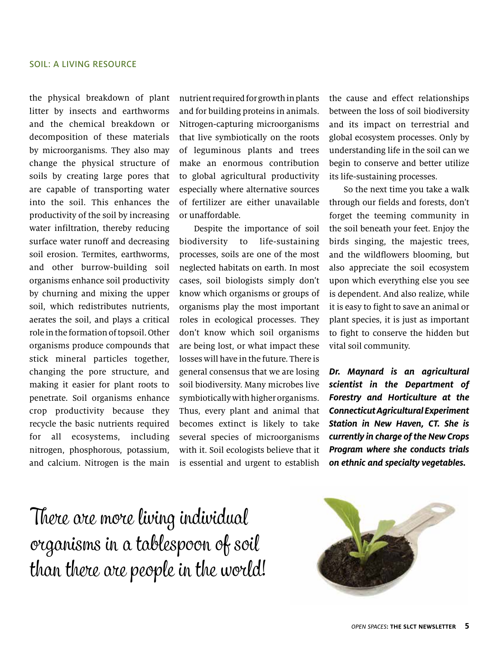the physical breakdown of plant litter by insects and earthworms and the chemical breakdown or decomposition of these materials by microorganisms. They also may change the physical structure of soils by creating large pores that are capable of transporting water into the soil. This enhances the productivity of the soil by increasing water infiltration, thereby reducing surface water runoff and decreasing soil erosion. Termites, earthworms, and other burrow-building soil organisms enhance soil productivity by churning and mixing the upper soil, which redistributes nutrients, aerates the soil, and plays a critical role in the formation of topsoil. Other organisms produce compounds that stick mineral particles together, changing the pore structure, and making it easier for plant roots to penetrate. Soil organisms enhance crop productivity because they recycle the basic nutrients required for all ecosystems, including nitrogen, phosphorous, potassium, and calcium. Nitrogen is the main

nutrient required for growth in plants and for building proteins in animals. Nitrogen-capturing microorganisms that live symbiotically on the roots of leguminous plants and trees make an enormous contribution to global agricultural productivity especially where alternative sources of fertilizer are either unavailable or unaffordable.

Despite the importance of soil biodiversity to life-sustaining processes, soils are one of the most neglected habitats on earth. In most cases, soil biologists simply don't know which organisms or groups of organisms play the most important roles in ecological processes. They don't know which soil organisms are being lost, or what impact these losses will have in the future. There is general consensus that we are losing soil biodiversity. Many microbes live symbiotically with higher organisms. Thus, every plant and animal that becomes extinct is likely to take several species of microorganisms with it. Soil ecologists believe that it is essential and urgent to establish

the cause and effect relationships between the loss of soil biodiversity and its impact on terrestrial and global ecosystem processes. Only by understanding life in the soil can we begin to conserve and better utilize its life-sustaining processes.

So the next time you take a walk through our fields and forests, don't forget the teeming community in the soil beneath your feet. Enjoy the birds singing, the majestic trees, and the wildflowers blooming, but also appreciate the soil ecosystem upon which everything else you see is dependent. And also realize, while it is easy to fight to save an animal or plant species, it is just as important to fight to conserve the hidden but vital soil community.

**Dr. Maynard is an agricultural scientist in the Department of Forestry and Horticulture at the Connecticut Agricultural Experiment Station in New Haven, CT. She is currently in charge of the New Crops Program where she conducts trials on ethnic and specialty vegetables.**

There are more living individual organisms in a tablespoon of soil than there are people in the world!

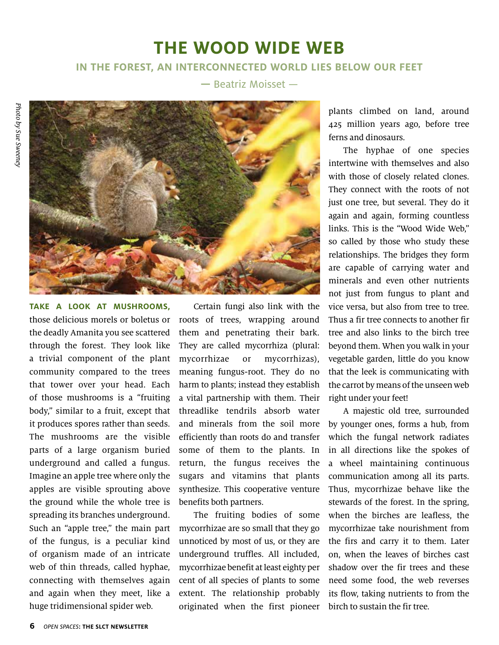# **The Wood Wide Web**

### **In the forest, an interconnected world lies below our feet**

**—** Beatriz Moisset —



**Take a look at mushrooms,**  those delicious morels or boletus or the deadly Amanita you see scattered through the forest. They look like a trivial component of the plant community compared to the trees that tower over your head. Each of those mushrooms is a "fruiting body," similar to a fruit, except that it produces spores rather than seeds. The mushrooms are the visible parts of a large organism buried underground and called a fungus. Imagine an apple tree where only the apples are visible sprouting above the ground while the whole tree is spreading its branches underground. Such an "apple tree," the main part of the fungus, is a peculiar kind of organism made of an intricate web of thin threads, called hyphae, connecting with themselves again and again when they meet, like a huge tridimensional spider web.

Certain fungi also link with the roots of trees, wrapping around them and penetrating their bark. They are called mycorrhiza (plural: mycorrhizae or mycorrhizas), meaning fungus-root. They do no harm to plants; instead they establish a vital partnership with them. Their threadlike tendrils absorb water and minerals from the soil more efficiently than roots do and transfer some of them to the plants. In return, the fungus receives the sugars and vitamins that plants synthesize. This cooperative venture benefits both partners.

The fruiting bodies of some mycorrhizae are so small that they go unnoticed by most of us, or they are underground truffles. All included, mycorrhizae benefit at least eighty per cent of all species of plants to some extent. The relationship probably originated when the first pioneer plants climbed on land, around 425 million years ago, before tree ferns and dinosaurs.

The hyphae of one species intertwine with themselves and also with those of closely related clones. They connect with the roots of not just one tree, but several. They do it again and again, forming countless links. This is the "Wood Wide Web," so called by those who study these relationships. The bridges they form are capable of carrying water and minerals and even other nutrients not just from fungus to plant and vice versa, but also from tree to tree. Thus a fir tree connects to another fir tree and also links to the birch tree beyond them. When you walk in your vegetable garden, little do you know that the leek is communicating with the carrot by means of the unseen web right under your feet!

A majestic old tree, surrounded by younger ones, forms a hub, from which the fungal network radiates in all directions like the spokes of a wheel maintaining continuous communication among all its parts. Thus, mycorrhizae behave like the stewards of the forest. In the spring, when the birches are leafless, the mycorrhizae take nourishment from the firs and carry it to them. Later on, when the leaves of birches cast shadow over the fir trees and these need some food, the web reverses its flow, taking nutrients to from the birch to sustain the fir tree.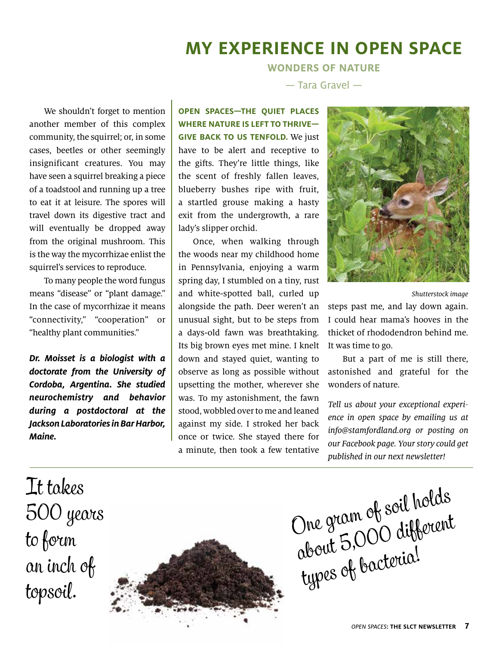# **My Experience in Open Space**

**Wonders of nature**

— Tara Gravel —

We shouldn't forget to mention another member of this complex community, the squirrel; or, in some cases, beetles or other seemingly insignificant creatures. You may have seen a squirrel breaking a piece of a toadstool and running up a tree to eat it at leisure. The spores will travel down its digestive tract and will eventually be dropped away from the original mushroom. This is the way the mycorrhizae enlist the squirrel's services to reproduce.

To many people the word fungus means "disease" or "plant damage." In the case of mycorrhizae it means "connectivity," "cooperation" or "healthy plant communities."

**Dr. Moisset is a biologist with a doctorate from the University of Cordoba, Argentina. She studied neurochemistry and behavior during a postdoctoral at the Jackson Laboratories in Bar Harbor, Maine.**

**Open spaces—the quiet places where nature is left to thrive give back to us tenfold.** We just have to be alert and receptive to the gifts. They're little things, like the scent of freshly fallen leaves, blueberry bushes ripe with fruit, a startled grouse making a hasty exit from the undergrowth, a rare lady's slipper orchid.

Once, when walking through the woods near my childhood home in Pennsylvania, enjoying a warm spring day, I stumbled on a tiny, rust and white-spotted ball, curled up alongside the path. Deer weren't an unusual sight, but to be steps from a days-old fawn was breathtaking. Its big brown eyes met mine. I knelt down and stayed quiet, wanting to observe as long as possible without upsetting the mother, wherever she was. To my astonishment, the fawn stood, wobbled over to me and leaned against my side. I stroked her back once or twice. She stayed there for a minute, then took a few tentative



Shutterstock image

steps past me, and lay down again. I could hear mama's hooves in the thicket of rhododendron behind me. It was time to go.

But a part of me is still there, astonished and grateful for the wonders of nature.

Tell us about your exceptional experience in open space by emailing us at info@stamfordland.org or posting on our Facebook page. Your story could get published in our next newsletter!

It takes 500 years to form an inch of topsoil.



One gram of soil holds The grain or different types of bacteria!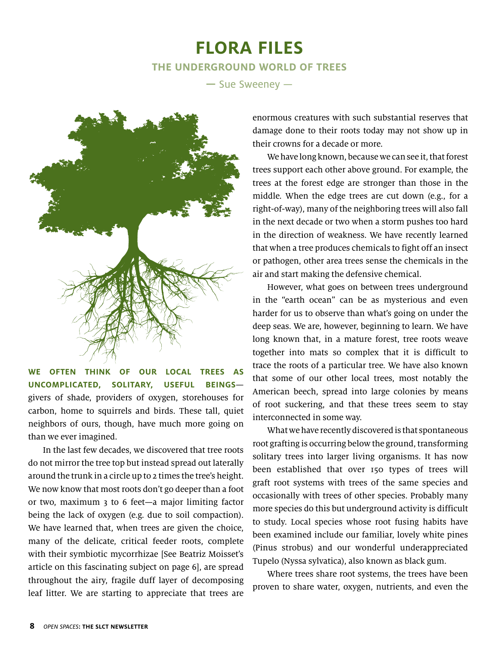### **Flora FILES The Underground World of Trees**

**—** Sue Sweeney —



**We often think of our local trees as uncomplicated, solitary, useful beings** givers of shade, providers of oxygen, storehouses for carbon, home to squirrels and birds. These tall, quiet neighbors of ours, though, have much more going on than we ever imagined.

In the last few decades, we discovered that tree roots do not mirror the tree top but instead spread out laterally around the trunk in a circle up to 2 times the tree's height. We now know that most roots don't go deeper than a foot or two, maximum 3 to 6 feet—a major limiting factor being the lack of oxygen (e.g. due to soil compaction). We have learned that, when trees are given the choice, many of the delicate, critical feeder roots, complete with their symbiotic mycorrhizae [See Beatriz Moisset's article on this fascinating subject on page 6], are spread throughout the airy, fragile duff layer of decomposing leaf litter. We are starting to appreciate that trees are

enormous creatures with such substantial reserves that damage done to their roots today may not show up in their crowns for a decade or more.

We have long known, because we can see it, that forest trees support each other above ground. For example, the trees at the forest edge are stronger than those in the middle. When the edge trees are cut down (e.g., for a right-of-way), many of the neighboring trees will also fall in the next decade or two when a storm pushes too hard in the direction of weakness. We have recently learned that when a tree produces chemicals to fight off an insect or pathogen, other area trees sense the chemicals in the air and start making the defensive chemical.

However, what goes on between trees underground in the "earth ocean" can be as mysterious and even harder for us to observe than what's going on under the deep seas. We are, however, beginning to learn. We have long known that, in a mature forest, tree roots weave together into mats so complex that it is difficult to trace the roots of a particular tree. We have also known that some of our other local trees, most notably the American beech, spread into large colonies by means of root suckering, and that these trees seem to stay interconnected in some way.

What we have recently discovered is that spontaneous root grafting is occurring below the ground, transforming solitary trees into larger living organisms. It has now been established that over 150 types of trees will graft root systems with trees of the same species and occasionally with trees of other species. Probably many more species do this but underground activity is difficult to study. Local species whose root fusing habits have been examined include our familiar, lovely white pines (Pinus strobus) and our wonderful underappreciated Tupelo (Nyssa sylvatica), also known as black gum.

Where trees share root systems, the trees have been proven to share water, oxygen, nutrients, and even the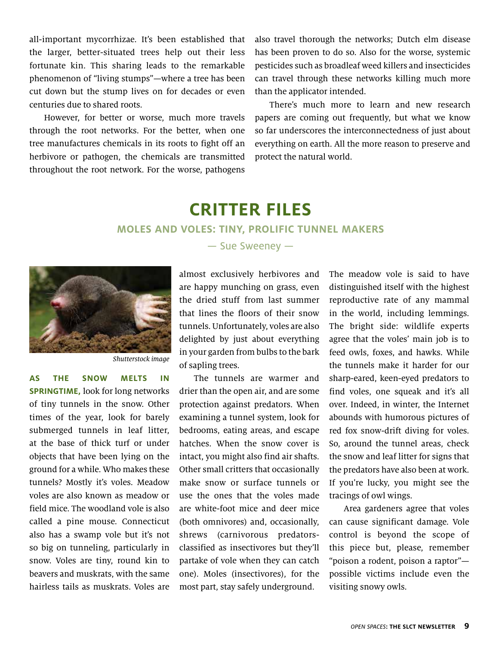all-important mycorrhizae. It's been established that the larger, better-situated trees help out their less fortunate kin. This sharing leads to the remarkable phenomenon of "living stumps"—where a tree has been cut down but the stump lives on for decades or even centuries due to shared roots.

However, for better or worse, much more travels through the root networks. For the better, when one tree manufactures chemicals in its roots to fight off an herbivore or pathogen, the chemicals are transmitted throughout the root network. For the worse, pathogens also travel thorough the networks; Dutch elm disease has been proven to do so. Also for the worse, systemic pesticides such as broadleaf weed killers and insecticides can travel through these networks killing much more than the applicator intended.

There's much more to learn and new research papers are coming out frequently, but what we know so far underscores the interconnectedness of just about everything on earth. All the more reason to preserve and protect the natural world.

### **Critter Files**

### **Moles and Voles: Tiny, Prolific Tunnel Makers**



Shutterstock image

**As the snow melts in SPRINGTIME, look for long networks** of tiny tunnels in the snow. Other times of the year, look for barely submerged tunnels in leaf litter, at the base of thick turf or under objects that have been lying on the ground for a while. Who makes these tunnels? Mostly it's voles. Meadow voles are also known as meadow or field mice. The woodland vole is also called a pine mouse. Connecticut also has a swamp vole but it's not so big on tunneling, particularly in snow. Voles are tiny, round kin to beavers and muskrats, with the same hairless tails as muskrats. Voles are

— Sue Sweeney —

almost exclusively herbivores and are happy munching on grass, even the dried stuff from last summer that lines the floors of their snow tunnels. Unfortunately, voles are also delighted by just about everything in your garden from bulbs to the bark of sapling trees.

The tunnels are warmer and drier than the open air, and are some protection against predators. When examining a tunnel system, look for bedrooms, eating areas, and escape hatches. When the snow cover is intact, you might also find air shafts. Other small critters that occasionally make snow or surface tunnels or use the ones that the voles made are white-foot mice and deer mice (both omnivores) and, occasionally, shrews (carnivorous predatorsclassified as insectivores but they'll partake of vole when they can catch one). Moles (insectivores), for the most part, stay safely underground.

The meadow vole is said to have distinguished itself with the highest reproductive rate of any mammal in the world, including lemmings. The bright side: wildlife experts agree that the voles' main job is to feed owls, foxes, and hawks. While the tunnels make it harder for our sharp-eared, keen-eyed predators to find voles, one squeak and it's all over. Indeed, in winter, the Internet abounds with humorous pictures of red fox snow-drift diving for voles. So, around the tunnel areas, check the snow and leaf litter for signs that the predators have also been at work. If you're lucky, you might see the tracings of owl wings.

Area gardeners agree that voles can cause significant damage. Vole control is beyond the scope of this piece but, please, remember "poison a rodent, poison a raptor" possible victims include even the visiting snowy owls.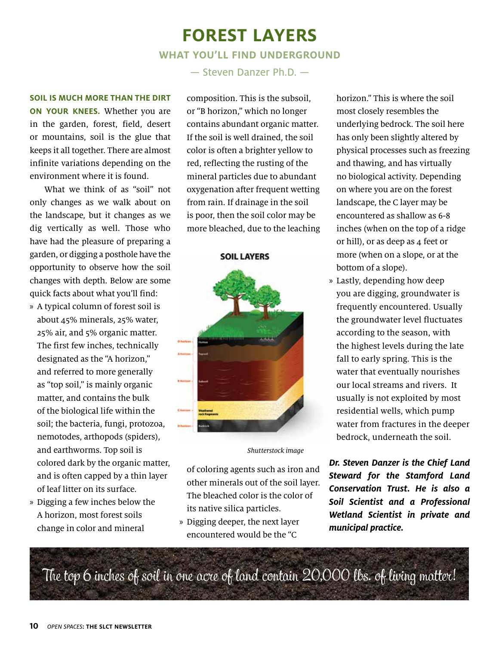# **Forest Layers**

### **What You'll Find Underground**

— Steven Danzer Ph.D. —

**Soil is much more than the dirt**

**ON YOUR KNEES.** Whether you are in the garden, forest, field, desert or mountains, soil is the glue that keeps it all together. There are almost infinite variations depending on the environment where it is found.

What we think of as "soil" not only changes as we walk about on the landscape, but it changes as we dig vertically as well. Those who have had the pleasure of preparing a garden, or digging a posthole have the opportunity to observe how the soil changes with depth. Below are some quick facts about what you'll find:

- » A typical column of forest soil is about 45% minerals, 25% water, 25% air, and 5% organic matter. The first few inches, technically designated as the "A horizon," and referred to more generally as "top soil," is mainly organic matter, and contains the bulk of the biological life within the soil; the bacteria, fungi, protozoa, nemotodes, arthopods (spiders), and earthworms. Top soil is colored dark by the organic matter, and is often capped by a thin layer of leaf litter on its surface.
- » Digging a few inches below the A horizon, most forest soils change in color and mineral

composition. This is the subsoil, or "B horizon," which no longer contains abundant organic matter. If the soil is well drained, the soil color is often a brighter yellow to red, reflecting the rusting of the mineral particles due to abundant oxygenation after frequent wetting from rain. If drainage in the soil is poor, then the soil color may be more bleached, due to the leaching

#### **SOIL LAYERS**



Shutterstock image

of coloring agents such as iron and other minerals out of the soil layer. The bleached color is the color of its native silica particles.

» Digging deeper, the next layer encountered would be the "C

horizon." This is where the soil most closely resembles the underlying bedrock. The soil here has only been slightly altered by physical processes such as freezing and thawing, and has virtually no biological activity. Depending on where you are on the forest landscape, the C layer may be encountered as shallow as 6-8 inches (when on the top of a ridge or hill), or as deep as 4 feet or more (when on a slope, or at the bottom of a slope).

» Lastly, depending how deep you are digging, groundwater is frequently encountered. Usually the groundwater level fluctuates according to the season, with the highest levels during the late fall to early spring. This is the water that eventually nourishes our local streams and rivers. It usually is not exploited by most residential wells, which pump water from fractures in the deeper bedrock, underneath the soil.

**Dr. Steven Danzer is the Chief Land Steward for the Stamford Land Conservation Trust. He is also a Soil Scientist and a Professional Wetland Scientist in private and municipal practice.**

The top 6 inches of soil in one acre of land contain 20,000 lbs. of living matter!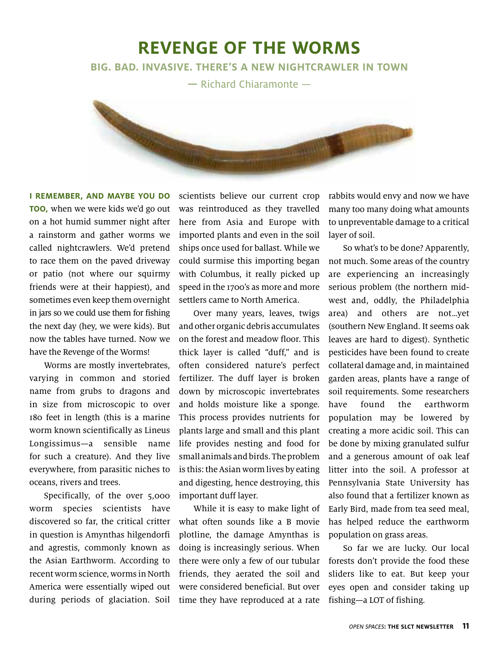### **Revenge of the Worms**

**Big. Bad. Invasive. There's a new nightcrawler in town**

**—** Richard Chiaramonte —

**I remember, and maybe you do too**, when we were kids we'd go out on a hot humid summer night after a rainstorm and gather worms we called nightcrawlers. We'd pretend to race them on the paved driveway or patio (not where our squirmy friends were at their happiest), and sometimes even keep them overnight in jars so we could use them for fishing the next day (hey, we were kids). But now the tables have turned. Now we have the Revenge of the Worms!

**Call Community** 

Worms are mostly invertebrates, varying in common and storied name from grubs to dragons and in size from microscopic to over 180 feet in length (this is a marine worm known scientifically as Lineus Longissimus—a sensible name for such a creature). And they live everywhere, from parasitic niches to oceans, rivers and trees.

Specifically, of the over 5,000 worm species scientists have discovered so far, the critical critter in question is Amynthas hilgendorfi and agrestis, commonly known as the Asian Earthworm. According to recent worm science, worms in North America were essentially wiped out during periods of glaciation. Soil

scientists believe our current crop was reintroduced as they travelled here from Asia and Europe with imported plants and even in the soil ships once used for ballast. While we could surmise this importing began with Columbus, it really picked up speed in the 1700's as more and more settlers came to North America.

Over many years, leaves, twigs and other organic debris accumulates on the forest and meadow floor. This thick layer is called "duff," and is often considered nature's perfect fertilizer. The duff layer is broken down by microscopic invertebrates and holds moisture like a sponge. This process provides nutrients for plants large and small and this plant life provides nesting and food for small animals and birds. The problem is this: the Asian worm lives by eating and digesting, hence destroying, this important duff layer.

While it is easy to make light of what often sounds like a B movie plotline, the damage Amynthas is doing is increasingly serious. When there were only a few of our tubular friends, they aerated the soil and were considered beneficial. But over time they have reproduced at a rate rabbits would envy and now we have many too many doing what amounts to unpreventable damage to a critical layer of soil.

**STATISTICS** 

So what's to be done? Apparently, not much. Some areas of the country are experiencing an increasingly serious problem (the northern midwest and, oddly, the Philadelphia area) and others are not…yet (southern New England. It seems oak leaves are hard to digest). Synthetic pesticides have been found to create collateral damage and, in maintained garden areas, plants have a range of soil requirements. Some researchers have found the earthworm population may be lowered by creating a more acidic soil. This can be done by mixing granulated sulfur and a generous amount of oak leaf litter into the soil. A professor at Pennsylvania State University has also found that a fertilizer known as Early Bird, made from tea seed meal, has helped reduce the earthworm population on grass areas.

So far we are lucky. Our local forests don't provide the food these sliders like to eat. But keep your eyes open and consider taking up fishing—a LOT of fishing.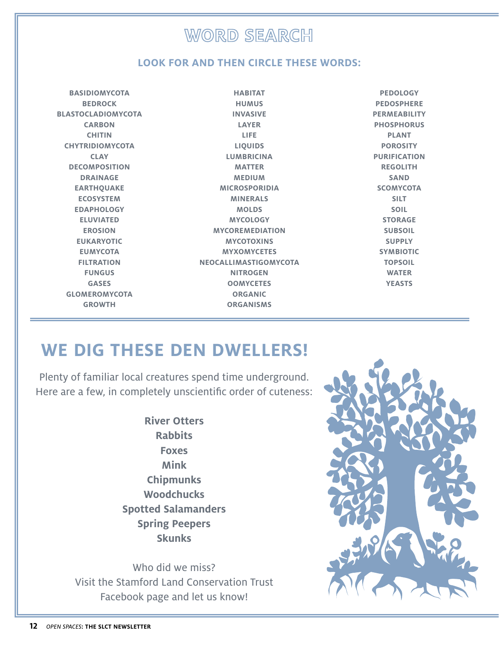### **WORD SEARCH**

### **LOOK FOR AND THEN CIRCLE THESE WORDS:**

**HABITAT**

**BASIDIOMYCOTA BEDROCK BLASTOCLADIOMYCOTA CARBON CHITIN CHYTRIDIOMYCOTA CLAY DECOMPOSITION DRAINAGE EARTHQUAKE ECOSYSTEM EDAPHOLOGY ELUVIATED EROSION EUKARYOTIC EUMYCOTA FILTRATION FUNGUS GASES GLOMEROMYCOTA GROWTH**

**HUMUS INVASIVE LAYER LIFE LIQUIDS LUMBRICINA MATTER MEDIUM MICROSPORIDIA MINERALS MOLDS MYCOLOGY MYCOREMEDIATION MYCOTOXINS MYXOMYCETES NEOCALLIMASTIGOMYCOTA NITROGEN OOMYCETES ORGANIC ORGANISMS**

**PEDOLOGY PEDOSPHERE PERMEABILITY PHOSPHORUS PLANT POROSITY PURIFICATION REGOLITH SAND SCOMYCOTA SILT SOIL STORAGE SUBSOIL SUPPLY SYMBIOTIC TOPSOIL WATER YEASTS**

# **we dig these den dwellers!**

Plenty of familiar local creatures spend time underground. Here are a few, in completely unscientific order of cuteness:

> **River Otters Rabbits Foxes Mink Chipmunks Woodchucks Spotted Salamanders Spring Peepers Skunks**

Who did we miss? Visit the Stamford Land Conservation Trust Facebook page and let us know!

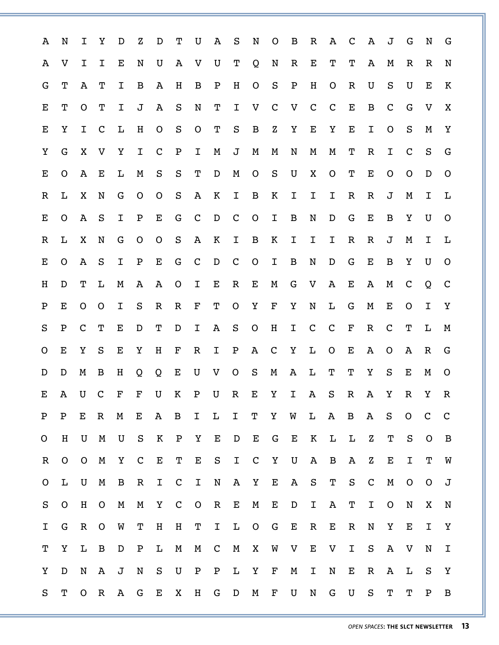| N              | I              | Υ            | D            | Z            | D            | Т            | U                                                 | A           | S            | N                                        | $\circ$      | B                           | $\mathbb R$                  | A                 | $\mathsf{C}$ | A            | J            | G            | N            | G            |
|----------------|----------------|--------------|--------------|--------------|--------------|--------------|---------------------------------------------------|-------------|--------------|------------------------------------------|--------------|-----------------------------|------------------------------|-------------------|--------------|--------------|--------------|--------------|--------------|--------------|
| V              | I              | I            | Е            | N            | U            | A            | V                                                 | U           | Т            | Q                                        | N            | R                           | Е                            | Т                 | т            | A            | M            | $\mathbb R$  | R            | N            |
| Т              | A              | т            | I            | B            | A            | Η            | B                                                 | ${\tt P}$   | Η            | $\mathbf O$                              | S            | ${\tt P}$                   | $\, {\rm H}$                 | $\circ$           | $\mathbf R$  | U            | $\rm S$      | U            | Е            | K            |
| т              | O              | т            | I            | J            | A            | S            | N                                                 | т           | Ι            | V                                        | $\mathbf C$  | V                           | $\mathbf C$                  | $\mathsf{C}$      | E            | B            | $\mathbf C$  | G            | V            | X            |
| Υ              | I              | $\mathbf C$  | L            | $\rm H$      | $\mathsf{O}$ | ${\bf S}$    | $\mathbf O$                                       | Т           | ${\tt S}$    | $\, {\bf B}$                             | $\rm{Z}$     | Υ                           | E                            | Y                 | E            | $\mathbf I$  | $\mathsf{O}$ | ${\bf S}$    | M            | Y            |
| G              | X              | V            | Υ            | I            | $\mathbf C$  | ${\bf P}$    | I                                                 | М           | J            | M                                        | M            | N                           | M                            | M                 | Т            | $\mathbb R$  | I            | $\mathbf C$  | S            | G            |
| $\mathsf{O}$   | Α              | Е            | L            | M            | S            | ${\bf S}$    | Т                                                 | D           | M            | $\mathsf{O}$                             | $\rm S$      | U                           | X                            | $\circ$           | Т            | E            | $\mathsf{O}$ | O            | D            | $\mathsf{O}$ |
| L              | X              | N            | G            | $\circ$      | $\mathbf O$  | $\rm S$      | Α                                                 | К           | I            | B                                        | К            | Ι                           | Ι                            | Ι                 | R            | $\mathbb R$  | J            | M            | Ι            | L            |
| O              | A              | S            | I            | ${\bf P}$    | E            | G            | $\mathbf C$                                       | D           | $\mathbf C$  | $\mathsf{O}$                             | I            | B                           | N                            | D                 | G            | Е            | B            | Υ            | U            | $\circ$      |
| L              | X              | N            | G            | $\mathsf{O}$ | $\circ$      | $\rm S$      | Α                                                 | К           | I            | B                                        | К            | Ι                           | I                            | I                 | R            | $\mathbb R$  | J            | M            | I            | L            |
| O              | Α              | S            | I            | Ρ            | Е            | G            | $\mathbf C$                                       | D           | $\mathbf C$  | $\circ$                                  | Ι            | B                           | N                            | D                 | G            | E            | B            | Υ            | U            | $\circ$      |
| D              | т              | L            | M            | Α            | $\mathbf{A}$ | $\circ$      | I                                                 | Е           | $\mathbb R$  | Е                                        | M            | G                           | V                            | Α                 | Е            | $\mathbf{A}$ | Μ            | $\mathbf C$  | Q            | $\mathbf C$  |
| Е              | $\mathsf{O}$   | $\circ$      | Ι            | $\rm S$      | $\mathbf R$  | $\mathbb R$  | $\mathbf F$                                       | т           | $\mathsf{O}$ | Υ                                        | $\mathbf F$  | Υ                           | N                            | L                 | G            | M            | Е            | $\mathbf O$  | I            | Υ            |
| ${\bf P}$      | $\mathsf{C}$   | т            | Е            | D            | т            | D            | I                                                 | A           | $\mathbf S$  | $\mathbf O$                              | H            | Ι                           | $\mathsf C$                  | $\mathsf{C}$      | $\mathbf F$  | $\mathbb{R}$ | $\mathbf C$  | Т            | L            | M            |
| Е              | Υ              | S            | Е            | Υ            | Η            | F            | $\mathbf R$                                       | I           | $\mathbf P$  | A                                        | $\mathbf C$  | Υ                           | L                            | O                 | Е            | A            | $\circ$      | A            | $\mathbb R$  | G            |
| D              | M              | B            | Η            | Q            | Q            | Е            | U                                                 | V           | $\circ$      | $\rm S$                                  | M            | Α                           | L                            | Т                 | т            | Υ            | ${\tt S}$    | Е            | M            | $\circ$      |
| A              | U              | $\mathbf C$  | $\mathbf F$  | F            | U            |              | Ρ                                                 | U           | $\mathsf R$  | Е                                        | Υ            |                             | Α                            | S                 | $\mathbf R$  | A            | $\mathbf Y$  | $\mathbb R$  | Υ            | $\mathbb R$  |
| ${\bf P}$      | $\mathbf E$    | $\mathbb{R}$ | M            | E            | $\mathbf{A}$ |              | I                                                 | L           |              | Т                                        | $\rm Y$      |                             |                              | $\mathbf{A}$      |              |              | S            | $\mathsf{O}$ | $\mathbf C$  | $\mathbf C$  |
| H              | $\mathbf U$    | $\mathbf M$  | U            | S            | $\mathbf K$  | $\mathbf{P}$ | Y                                                 | $\mathbf E$ | $\mathbf{D}$ | Е                                        | G            | $\mathbf{E}$                | $\mathbf K$                  | L                 | L            | $\mathbf{Z}$ | Т            | S            | $\mathsf{O}$ | $\mathbf B$  |
| $\overline{O}$ | $\overline{O}$ | $\mathbf M$  | Y            | $\mathsf{C}$ | $\mathbf E$  |              | $\mathbf E$                                       | S           | $\mathbf{I}$ |                                          |              |                             | $\mathbf{A}$                 | $\mathbf B$       | $\mathbf{A}$ | $\mathbf{Z}$ | $\mathbf E$  | $\mathbf I$  | Т            | W            |
| L              | $\mathbf U$    | M            | $\mathbf B$  | $\mathbb R$  | I            | $\mathbf C$  | $\mathbf{I}$                                      | ${\bf N}$   | $\mathbf A$  |                                          | $\mathbf{E}$ | $\mathbf A$                 |                              | Т                 | S            | $\mathbf C$  | $\mathbf M$  | $\mathsf{O}$ | $\mathsf{O}$ | J            |
| $\mathsf{O}$   | $\, {\rm H}$   | $\mathsf{O}$ | $\mathbf M$  | $\mathbf M$  | $\mathbf Y$  |              | $\mathsf{O}$                                      | ${\bf R}$   | ${\bf E}$    | $\mathbf M$                              | ${\bf E}$    | ${\bf D}$                   | $\mathbf I$                  | A                 | Т            | $\mathbf I$  | $\mathsf{O}$ | N            | X            | N            |
| G              | $\mathbb{R}$   | $\mathsf{O}$ | W            | Т            | $\, {\rm H}$ | H            | T                                                 |             |              |                                          |              |                             | ${\bf R}$                    | Е                 | $\mathbb R$  | N            | Y            | $\mathbf E$  | I            | Υ            |
| Y              | $\mathbf L$    | $\mathbf B$  | D            | ${\tt P}$    | $\mathbf L$  | $\mathbf M$  | M                                                 |             | M            | X                                        | W            | $\mathbf V$                 | $\mathbf{E}% _{0}$           | $\mathbf V$       | $\mathbf I$  | S            | $\mathbf{A}$ | $\mathbf V$  | N            | I            |
| D              | N              | $\mathbf{A}$ | J            | ${\bf N}$    | S            | $\mathbf U$  | ${\bf P}$                                         | ${\bf P}$   | L            | Y                                        | $\mathbf F$  | M                           | I                            | N                 | Е            | $\mathbb R$  | $\mathbf{A}$ | L            | S            | Υ            |
| Т              | $\overline{O}$ | $\mathbb R$  | $\mathbf{A}$ | G            | Е            | X            | $\, {\rm H}$                                      | G           |              | M                                        | $\mathbf F$  | $\mathbf U$                 | ${\bf N}$                    | G                 | $\mathbf U$  | S            | Т            | $\mathbf T$  | $\mathbf P$  | B            |
|                |                |              |              |              |              |              | K<br>$\mathbf{B}$<br>$\mathbf{T}$<br>$\mathbf{C}$ |             | $\mathbf{C}$ | $\mathbf{I}$<br>${\bf I} - {\bf L}$<br>D | $\mathbf C$  | Y<br>$\mathbf Y$<br>$O$ $G$ | $\mathbf{I}$<br>$\mathbf{U}$ | $W$ $L$<br>S<br>E |              |              | B A          |              |              |              |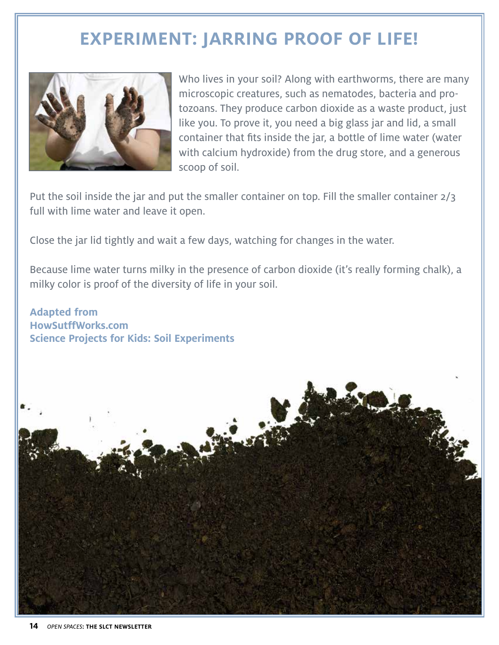# **Experiment: Jarring proof of life!**



Who lives in your soil? Along with earthworms, there are many microscopic creatures, such as nematodes, bacteria and protozoans. They produce carbon dioxide as a waste product, just like you. To prove it, you need a big glass jar and lid, a small container that fits inside the jar, a bottle of lime water (water with calcium hydroxide) from the drug store, and a generous scoop of soil.

Put the soil inside the jar and put the smaller container on top. Fill the smaller container 2/3 full with lime water and leave it open.

Close the jar lid tightly and wait a few days, watching for changes in the water.

Because lime water turns milky in the presence of carbon dioxide (it's really forming chalk), a milky color is proof of the diversity of life in your soil.

**Adapted from HowSutffWorks.com Science Projects for Kids: Soil Experiments**

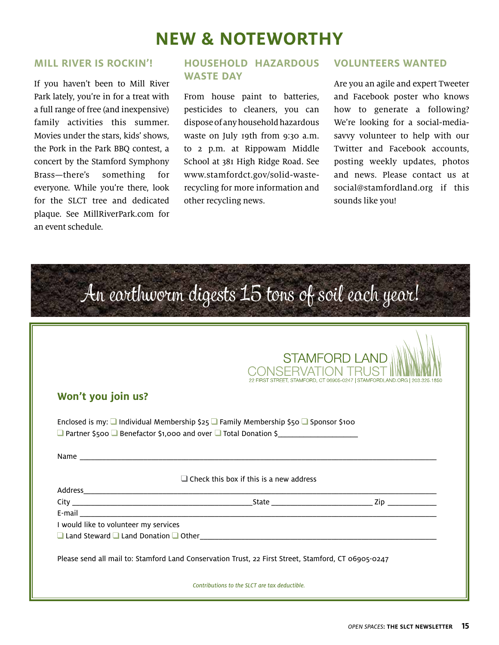# **new & noteworthy**

### **Mill River is Rockin'!**

If you haven't been to Mill River Park lately, you're in for a treat with a full range of free (and inexpensive) family activities this summer. Movies under the stars, kids' shows, the Pork in the Park BBQ contest, a concert by the Stamford Symphony Brass—there's something for everyone. While you're there, look for the SLCT tree and dedicated plaque. See MillRiverPark.com for an event schedule.

### **Household Hazardous Waste Day**

From house paint to batteries, pesticides to cleaners, you can dispose of any household hazardous waste on July 19th from 9:30 a.m. to 2 p.m. at Rippowam Middle School at 381 High Ridge Road. See www.stamfordct.gov/solid-wasterecycling for more information and other recycling news.

### **volunteers wanted**

Are you an agile and expert Tweeter and Facebook poster who knows how to generate a following? We're looking for a social-mediasavvy volunteer to help with our Twitter and Facebook accounts, posting weekly updates, photos and news. Please contact us at social@stamfordland.org if this sounds like you!

|                                       | An earthworm digests 15 tons of soil each year!                                                      |                                                                            |
|---------------------------------------|------------------------------------------------------------------------------------------------------|----------------------------------------------------------------------------|
|                                       |                                                                                                      | <b>STAMFORD LAND</b>                                                       |
|                                       |                                                                                                      | 22 FIRST STREET, STAMFORD, CT 06905-0247   STAMFORDLAND.ORG   203.325.1850 |
| Won't you join us?                    |                                                                                                      |                                                                            |
|                                       | Enclosed is my: $\Box$ Individual Membership \$25 $\Box$ Family Membership \$50 $\Box$ Sponsor \$100 |                                                                            |
|                                       | Q Partner \$500 Q Benefactor \$1,000 and over Q Total Donation \$                                    |                                                                            |
|                                       | $\Box$ Check this box if this is a new address                                                       |                                                                            |
|                                       |                                                                                                      |                                                                            |
|                                       |                                                                                                      |                                                                            |
|                                       |                                                                                                      |                                                                            |
| I would like to volunteer my services |                                                                                                      |                                                                            |
|                                       | $\Box$ Land Steward $\Box$ Land Donation $\Box$ Other $\Box$                                         |                                                                            |
|                                       | Please send all mail to: Stamford Land Conservation Trust, 22 First Street, Stamford, CT 06905-0247  |                                                                            |